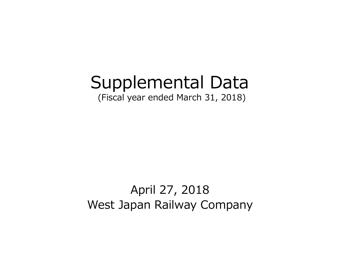# Supplemental Data

(Fiscal year ended March 31, 2018)

# April 27, 2018 West Japan Railway Company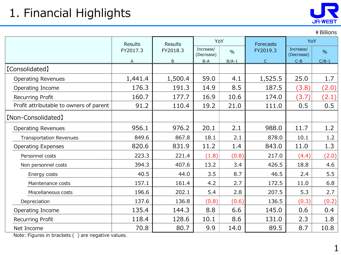# 1. Financial Highlights



¥Billions

|                                         | <b>Results</b> | YoY<br><b>Results</b> |                         |               | <b>Forecasts</b> | YoY                     |               |
|-----------------------------------------|----------------|-----------------------|-------------------------|---------------|------------------|-------------------------|---------------|
|                                         | FY2017.3       | FY2018.3              | Increase/<br>(Decrease) | $\frac{0}{0}$ | FY2019.3         | Increase/<br>(Decrease) | $\frac{0}{0}$ |
|                                         | A              | B                     | $B-A$                   | $B/A-1$       | $\mathsf C$      | $C - B$                 | $C/B-1$       |
| [Consolidated]                          |                |                       |                         |               |                  |                         |               |
| <b>Operating Revenues</b>               | 1,441.4        | 1,500.4               | 59.0                    | 4.1           | 1,525.5          | 25.0                    | 1.7           |
| Operating Income                        | 176.3          | 191.3                 | 14.9                    | 8.5           | 187.5            | (3.8)                   | (2.0)         |
| Recurring Profit                        | 160.7          | 177.7                 | 16.9                    | 10.6          | 174.0            | (3.7)                   | (2.1)         |
| Profit attributable to owners of parent | 91.2           | 110.4                 | 19.2                    | 21.0          | 111.0            | 0.5                     | 0.5           |
| [Non-Consolidated]                      |                |                       |                         |               |                  |                         |               |
| <b>Operating Revenues</b>               | 956.1          | 976.2                 | 20.1                    | 2.1           | 988.0            | 11.7                    | 1.2           |
| <b>Transportation Revenues</b>          | 849.6          | 867.8                 | 18.1                    | 2.1           | 878.0            | 10.1                    | 1.2           |
| <b>Operating Expenses</b>               | 820.6          | 831.9                 | 11.2                    | 1.4           | 843.0            | 11.0                    | 1.3           |
| Personnel costs                         | 223.3          | 221.4                 | (1.8)                   | (0.8)         | 217.0            | (4.4)                   | (2.0)         |
| Non personnel costs                     | 394.3          | 407.6                 | 13.2                    | 3.4           | 426.5            | 18.8                    | 4.6           |
| Energy costs                            | 40.5           | 44.0                  | 3.5                     | 8.7           | 46.5             | 2.4                     | 5.5           |
| Maintenance costs                       | 157.1          | 161.4                 | 4.2                     | 2.7           | 172.5            | 11.0                    | 6.8           |
| Miscellaneous costs                     | 196.6          | 202.1                 | 5.4                     | 2.8           | 207.5            | 5.3                     | 2.7           |
| Depreciation                            | 137.6          | 136.8                 | (0.8)                   | (0.6)         | 136.5            | (0.3)                   | (0.2)         |
| Operating Income                        | 135.4          | 144.3                 | 8.8                     | 6.6           | 145.0            | 0.6                     | 0.4           |
| Recurring Profit                        | 118.4          | 128.6                 | 10.1                    | 8.6           | 131.0            | 2.3                     | 1.8           |
| Net Income                              | 70.8           | 80.7                  | 9.9                     | 14.0          | 89.5             | 8.7                     | 10.8          |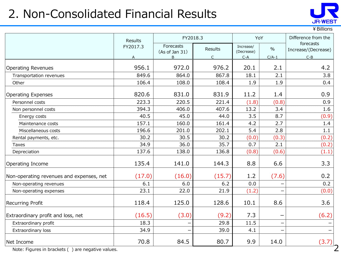# 2. Non-Consolidated Financial Results



¥Billions

|                                          | Results  | FY2018.3                    | YoY            |                         | Difference from the |                                  |
|------------------------------------------|----------|-----------------------------|----------------|-------------------------|---------------------|----------------------------------|
|                                          | FY2017.3 | Forecasts<br>(As of Jan 31) | <b>Results</b> | Increase/<br>(Decrease) | $\frac{0}{0}$       | forecasts<br>Increase/(Decrease) |
|                                          | A        | B                           | $\mathsf{C}$   | $C-A$                   | $C/A-1$             | $C - B$                          |
| <b>Operating Revenues</b>                | 956.1    | 972.0                       | 976.2          | 20.1                    | 2.1                 | 4.2                              |
| Transportation revenues                  | 849.6    | 864.0                       | 867.8          | 18.1                    | 2.1                 | 3.8                              |
| Other                                    | 106.4    | 108.0                       | 108.4          | 1.9                     | 1.9                 | 0.4                              |
| <b>Operating Expenses</b>                | 820.6    | 831.0                       | 831.9          | 11.2                    | 1.4                 | 0.9                              |
| Personnel costs                          | 223.3    | 220.5                       | 221.4          | (1.8)                   | (0.8)               | 0.9                              |
| Non personnel costs                      | 394.3    | 406.0                       | 407.6          | 13.2                    | 3.4                 | 1.6                              |
| Energy costs                             | 40.5     | 45.0                        | 44.0           | 3.5                     | 8.7                 | (0.9)                            |
| Maintenance costs                        | 157.1    | 160.0                       | 161.4          | 4.2                     | 2.7                 | 1.4                              |
| Miscellaneous costs                      | 196.6    | 201.0                       | 202.1          | 5.4                     | 2.8                 | 1.1                              |
| Rental payments, etc.                    | 30.2     | 30.5                        | 30.2           | (0.0)                   | (0.3)               | (0.2)                            |
| <b>Taxes</b>                             | 34.9     | 36.0                        | 35.7           | 0.7                     | 2.1                 | (0.2)                            |
| Depreciation                             | 137.6    | 138.0                       | 136.8          | (0.8)                   | (0.6)               | (1.1)                            |
| Operating Income                         | 135.4    | 141.0                       | 144.3          | 8.8                     | 6.6                 | 3.3                              |
| Non-operating revenues and expenses, net | (17.0)   | (16.0)                      | (15.7)         | 1.2                     | (7.6)               | 0.2                              |
| Non-operating revenues                   | 6.1      | 6.0                         | 6.2            | 0.0                     |                     | 0.2                              |
| Non-operating expenses                   | 23.1     | 22.0                        | 21.9           | (1.2)                   |                     | (0.0)                            |
| <b>Recurring Profit</b>                  | 118.4    | 125.0                       | 128.6          | 10.1                    | 8.6                 | 3.6                              |
| Extraordinary profit and loss, net       | (16.5)   | (3.0)                       | (9.2)          | 7.3                     |                     | (6.2)                            |
| Extraordinary profit                     | 18.3     |                             | 29.8           | 11.5                    |                     |                                  |
| Extraordinary loss                       | 34.9     |                             | 39.0           | 4.1                     |                     |                                  |
| Net Income                               | 70.8     | 84.5                        | 80.7           | 9.9                     | 14.0                | (3.7)                            |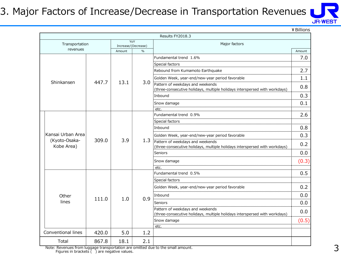### 3. Major Factors of Increase/Decrease in Transportation Revenues



¥Billions

|                    |       |        |                            | Results FY2018.3                                                                                               |        |
|--------------------|-------|--------|----------------------------|----------------------------------------------------------------------------------------------------------------|--------|
| Transportation     |       |        | YoY<br>Increase/(Decrease) | Major factors                                                                                                  |        |
| revenues           |       | Amount | $\frac{0}{0}$              |                                                                                                                | Amount |
|                    |       |        |                            | Fundamental trend 1.6%                                                                                         | 7.0    |
|                    |       |        |                            | Special factors                                                                                                |        |
|                    |       |        |                            | Rebound from Kumamoto Earthquake                                                                               | 2.7    |
|                    |       |        |                            | Golden Week, year-end/new-year period favorable                                                                | 1.1    |
| Shinkansen         | 447.7 | 13.1   | 3.0                        | Pattern of weekdays and weekends                                                                               | 0.8    |
|                    |       |        |                            | (three-consecutive holidays, multiple holidays interspersed with workdays)                                     |        |
|                    |       |        |                            | Inbound                                                                                                        | 0.3    |
|                    |       |        |                            | Snow damage                                                                                                    | 0.1    |
|                    |       |        |                            | etc.<br>Fundamental trend 0.9%                                                                                 | 2.6    |
|                    |       |        |                            | Special factors                                                                                                |        |
|                    |       | 3.9    | 1.3                        | Inbound                                                                                                        | 0.8    |
| Kansai Urban Area  |       |        |                            |                                                                                                                |        |
| (Kyoto-Osaka-      | 309.0 |        |                            | Golden Week, year-end/new-year period favorable                                                                | 0.3    |
| Kobe Area)         |       |        |                            | Pattern of weekdays and weekends<br>(three-consecutive holidays, multiple holidays interspersed with workdays) | 0.2    |
|                    |       |        |                            | <b>Seniors</b>                                                                                                 | 0.0    |
|                    |       |        |                            | Snow damage                                                                                                    | (0.3)  |
|                    |       |        |                            | etc.                                                                                                           |        |
|                    |       |        |                            | Fundamental trend 0.5%                                                                                         | 0.5    |
|                    |       |        |                            | Special factors                                                                                                |        |
|                    |       |        |                            | Golden Week, year-end/new-year period favorable                                                                | 0.2    |
| Other              | 111.0 | 1.0    | 0.9                        | Inbound                                                                                                        | 0.0    |
| lines              |       |        |                            | Seniors                                                                                                        | 0.0    |
|                    |       |        |                            | Pattern of weekdays and weekends                                                                               | 0.0    |
|                    |       |        |                            | (three-consecutive holidays, multiple holidays interspersed with workdays)                                     |        |
|                    |       |        |                            | Snow damage<br>etc.                                                                                            | (0.5)  |
| Conventional lines | 420.0 | 5.0    | 1.2                        |                                                                                                                |        |
| Total              | 867.8 | 18.1   | 2.1                        |                                                                                                                |        |
|                    |       |        |                            |                                                                                                                |        |

Note: Revenues from luggage transportation are omitted due to the small amount. Figures in brackets ( ) are negative values.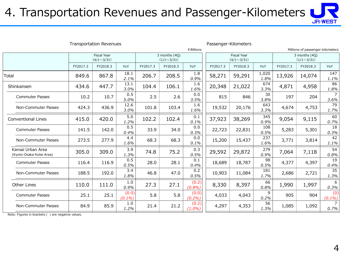### 4. Transportation Revenues and Passenger-Kilometers



| <b>Transportation Revenues</b>               |          |                                         |                    |                                    | Passenger-Kilometers |                    |                                         |          |                                    |          |                                  |                        |
|----------------------------------------------|----------|-----------------------------------------|--------------------|------------------------------------|----------------------|--------------------|-----------------------------------------|----------|------------------------------------|----------|----------------------------------|------------------------|
|                                              |          |                                         |                    |                                    |                      | ¥ Billions         |                                         |          |                                    |          | Millions of passenger-kilometers |                        |
|                                              |          | <b>Fiscal Year</b><br>$(4/1 \sim 3/31)$ |                    | 3 months (4Q)<br>$(1/1 \sim 3/31)$ |                      |                    | <b>Fiscal Year</b><br>$(4/1 \sim 3/31)$ |          | 3 months (40)<br>$(1/1 \sim 3/31)$ |          |                                  |                        |
|                                              | FY2017.3 | FY2018.3                                | YoY                | FY2017.3                           | FY2018.3             | YoY                | FY2017.3                                | FY2018.3 | YoY                                | FY2017.3 | FY2018.3                         | YoY                    |
| Total                                        | 849.6    | 867.8                                   | 18.1<br>2.1%       | 206.7                              | 208.5                | 1.8<br>0.9%        | 58,271                                  | 59,291   | 1,020<br>1.8%                      | 13,926   | 14,074                           | 147<br>1.1%            |
| Shinkansen                                   | 434.6    | 447.7                                   | 13.1<br>3.0%       | 104.4                              | 106.1                | 1.6<br>1.6%        | 20,348                                  | 21,022   | 674<br>3.3%                        | 4,871    | 4,958                            | 86<br>1.8%             |
| <b>Commuter Passes</b>                       | 10.2     | 10.7                                    | 0.5<br>5.0%        | 2.5                                | 2.6                  | 0.0<br>3.5%        | 815                                     | 846      | 30<br>3.8%                         | 197      | 204                              | $\overline{7}$<br>3.6% |
| Non-Commuter Passes                          | 424.3    | 436.9                                   | 12.6<br>3.0%       | 101.8                              | 103.4                | 1.6<br>1.6%        | 19,532                                  | 20,176   | 643<br>3.3%                        | 4,674    | 4,753                            | 79<br>1.7%             |
| <b>Conventional Lines</b>                    | 415.0    | 420.0                                   | 5.0<br>1.2%        | 102.2                              | 102.4                | 0.1<br>0.1%        | 37,923                                  | 38,269   | 345<br>0.9%                        | 9,054    | 9,115                            | 60<br>0.7%             |
| <b>Commuter Passes</b>                       | 141.5    | 142.0                                   | 0.5<br>0.4%        | 33.9                               | 34.0                 | 0.0<br>0.3%        | 22,723                                  | 22,831   | 108<br>0.5%                        | 5,283    | 5,301                            | 18<br>0.3%             |
| Non-Commuter Passes                          | 273.5    | 277.9                                   | 4.4<br>1.6%        | 68.3                               | 68.3                 | 0.0<br>0.1%        | 15,200                                  | 15,437   | 237<br>1.6%                        | 3,771    | 3,814                            | 42<br>1.1%             |
| Kansai Urban Area<br>(Kyoto-Osaka-Kobe Area) | 305.0    | 309.0                                   | 3.9<br>1.3%        | 74.8                               | 75.2                 | 0.3<br>0.5%        | 29,592                                  | 29,872   | 279<br>0.9%                        | 7,064    | 7,118                            | 54<br>0.8%             |
| <b>Commuter Passes</b>                       | 116.4    | 116.9                                   | 0.5<br>0.5%        | 28.0                               | 28.1                 | 0.1<br>0.4%        | 18,689                                  | 18,787   | 98<br>0.5%                         | 4,377    | 4,397                            | 19<br>0.4%             |
| Non-Commuter Passes                          | 188.5    | 192.0                                   | 3.4<br>1.8%        | 46.8                               | 47.0                 | 0.2<br>0.5%        | 10,903                                  | 11,084   | 181<br>1.7%                        | 2,686    | 2,721                            | 35<br>1.3%             |
| Other Lines                                  | 110.0    | 111.0                                   | 1.0<br>0.9%        | 27.3                               | 27.1                 | (0.2)<br>(0.8%)    | 8,330                                   | 8,397    | 66<br>0.8%                         | 1,990    | 1,997                            | 6<br>0.3%              |
| <b>Commuter Passes</b>                       | 25.1     | 25.1                                    | (0.0)<br>$(0.1\%)$ | 5.8                                | 5.8                  | (0.0)<br>(0.2%)    | 4,033                                   | 4,043    | 9<br>0.2%                          | 905      | 904                              | (0)<br>$(0.1\%)$       |
| Non-Commuter Passes                          | 84.9     | 85.9                                    | 1.0<br>1.2%        | 21.4                               | 21.2                 | (0.2)<br>$(1.0\%)$ | 4,297                                   | 4,353    | 56<br>1.3%                         | 1,085    | 1,092                            | $\overline{7}$<br>0.7% |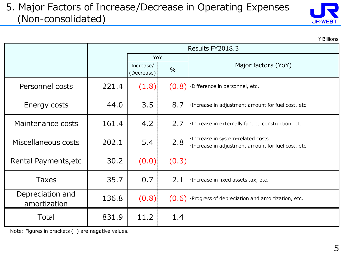#### 5. Major Factors of Increase/Decrease in Operating Expenses (Non-consolidated)



|                                  |       |                         |                  | ¥ Billions                                                                                |
|----------------------------------|-------|-------------------------|------------------|-------------------------------------------------------------------------------------------|
|                                  |       |                         | Results FY2018.3 |                                                                                           |
|                                  |       | YoY                     |                  |                                                                                           |
|                                  |       | Increase/<br>(Decrease) | $\frac{0}{0}$    | Major factors (YoY)                                                                       |
| Personnel costs                  | 221.4 | (1.8)                   |                  | $(0.8)$ . Difference in personnel, etc.                                                   |
| Energy costs                     | 44.0  | 3.5                     | 8.7              | · Increase in adjustment amount for fuel cost, etc.                                       |
| Maintenance costs                | 161.4 | 4.2                     | 2.7              | · Increase in externally funded construction, etc.                                        |
| Miscellaneous costs              | 202.1 | 5.4                     | 2.8              | · Increase in system-related costs<br>· Increase in adjustment amount for fuel cost, etc. |
| Rental Payments, etc             | 30.2  | (0.0)                   | (0.3)            |                                                                                           |
| <b>Taxes</b>                     | 35.7  | 0.7                     | 2.1              | ·Increase in fixed assets tax, etc.                                                       |
| Depreciation and<br>amortization | 136.8 | (0.8)                   |                  | $(0.6)$ Progress of depreciation and amortization, etc.                                   |
| Total                            | 831.9 | 11.2                    | 1.4              |                                                                                           |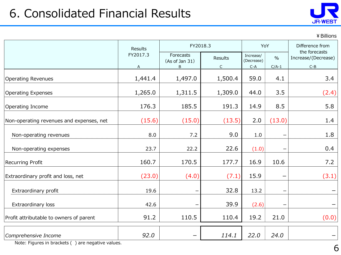

¥Billions

|                                          | <b>Results</b> | FY2018.3                         |                         | YoY                              |                          | Difference from<br>the forecasts |
|------------------------------------------|----------------|----------------------------------|-------------------------|----------------------------------|--------------------------|----------------------------------|
|                                          | FY2017.3<br>A  | Forecasts<br>(As of Jan 31)<br>B | Results<br>$\mathsf{C}$ | Increase/<br>(Decrease)<br>$C-A$ | $\frac{0}{0}$<br>$C/A-1$ | Increase/(Decrease)<br>$C - B$   |
| <b>Operating Revenues</b>                | 1,441.4        | 1,497.0                          | 1,500.4                 | 59.0                             | 4.1                      | 3.4                              |
| <b>Operating Expenses</b>                | 1,265.0        | 1,311.5                          | 1,309.0                 | 44.0                             | 3.5                      | (2.4)                            |
| Operating Income                         | 176.3          | 185.5                            | 191.3                   | 14.9                             | 8.5                      | 5.8                              |
| Non-operating revenues and expenses, net | (15.6)         | (15.0)                           | (13.5)                  | 2.0                              | (13.0)                   | 1.4                              |
| Non-operating revenues                   | 8.0            | 7.2                              | 9.0                     | 1.0                              |                          | 1.8                              |
| Non-operating expenses                   | 23.7           | 22.2                             | 22.6                    | (1.0)                            | $\overline{\phantom{0}}$ | 0.4                              |
| Recurring Profit                         | 160.7          | 170.5                            | 177.7                   | 16.9                             | 10.6                     | 7.2                              |
| Extraordinary profit and loss, net       | (23.0)         | (4.0)                            | (7.1)                   | 15.9                             |                          | (3.1)                            |
| Extraordinary profit                     | 19.6           |                                  | 32.8                    | 13.2                             | $\overline{\phantom{0}}$ |                                  |
| Extraordinary loss                       | 42.6           |                                  | 39.9                    | (2.6)                            |                          |                                  |
| Profit attributable to owners of parent  | 91.2           | 110.5                            | 110.4                   | 19.2                             | 21.0                     | (0.0)                            |
| Comprehensive Income                     | 92.0           |                                  | 114.1                   | 22.0                             | 24.0                     |                                  |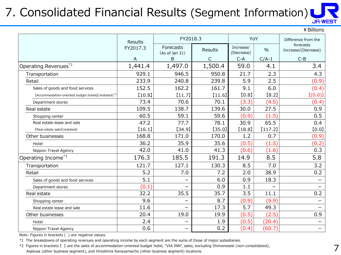#### 7. Consolidated Financial Results (Segment Information) **JR-WEST**

|                                                                 |          |                                    |              |                         |               | ¥ Billions                       |
|-----------------------------------------------------------------|----------|------------------------------------|--------------|-------------------------|---------------|----------------------------------|
|                                                                 |          | FY2018.3<br><b>Results</b>         |              | YoY                     |               | Difference from the              |
|                                                                 | FY2017.3 | <b>Forecasts</b><br>(As of Jan 31) | Results      | Increase/<br>(Decrease) | $\frac{0}{0}$ | forecasts<br>Increase/(Decrease) |
|                                                                 | Α        | B                                  | $\mathsf{C}$ | $C-A$                   | $C/A-1$       | $C-B$                            |
| Operating Revenues <sup>*1</sup>                                | 1,441.4  | 1,497.0                            | 1,500.4      | 59.0                    | 4.1           | 3.4                              |
| Transportation                                                  | 929.1    | 946.5                              | 950.8        | 21.7                    | 2.3           | 4.3                              |
| Retail                                                          | 233.9    | 240.8                              | 239.8        | 5.9                     | 2.5           | (0.9)                            |
| Sales of goods and food services                                | 152.5    | 162.2                              | 161.7        | 9.1                     | 6.0           | (0.4)                            |
| [Accommodation-oriented budget hotels] (restated) <sup>*2</sup> | [10.8]   | [11.7]                             | $[11.6]$     | [0.8]                   | [8.2]         | [(0.0)]                          |
| Department stores                                               | 73.4     | 70.6                               | 70.1         | (3.3)                   | (4.5)         | (0.4)                            |
| Real estate                                                     | 109.5    | 138.7                              | 139.6        | 30.0                    | 27.5          | 0.9                              |
| Shopping center                                                 | 60.5     | 59.1                               | 59.6         | (0.9)                   | (1.5)         | 0.5                              |
| Real estate lease and sale                                      | 47.2     | 77.7                               | 78.1         | 30.9                    | 65.5          | 0.4                              |
| [Real estate sale] (restated)                                   | [16.1]   | [34.9]                             | [35.0]       | [18.8]                  | [117.2]       | [0.0]                            |
| Other businesses                                                | 168.8    | 171.0                              | 170.0        | 1.2                     | 0.7           | (0.9)                            |
| Hotel                                                           | 36.2     | 35.9                               | 35.6         | (0.5)                   | (1.5)         | (0.2)                            |
| Nippon Travel Agency                                            | 42.0     | 41.0                               | 41.3         | (0.6)                   | (1.6)         | 0.3                              |
| Operating Income <sup>*1</sup>                                  | 176.3    | 185.5                              | 191.3        | 14.9                    | 8.5           | 5.8                              |
| Transportation                                                  | 121.7    | 127.1                              | 130.3        | 8.5                     | 7.0           | 3.2                              |
| Retail                                                          | 5.2      | 7.0                                | 7.2          | 2.0                     | 38.9          | 0.2                              |
| Sales of goods and food services                                | 5.1      | —                                  | 6.0          | 0.9                     | 18.3          |                                  |
| Department stores                                               | (0.1)    |                                    | 0.9          | 1.1                     |               |                                  |
| Real estate                                                     | 32.2     | 35.5                               | 35.7         | 3.5                     | 11.1          | 0.2                              |
| Shopping center                                                 | 9.6      | $\overline{\phantom{0}}$           | 8.7          | (0.9)                   | (9.9)         |                                  |
| Real estate lease and sale                                      | 11.6     | $\overline{\phantom{0}}$           | 17.3         | 5.7                     | 49.3          |                                  |
| Other businesses                                                | 20.4     | 19.0                               | 19.9         | (0.5)                   | (2.5)         | 0.9                              |
| Hotel                                                           | 2.4      |                                    | 1.9          | (0.5)                   | (20.4)        |                                  |
| Nippon Travel Agency                                            | 0.6      |                                    | 0.2          | (0.4)                   | (60.7)        |                                  |

Note: Figures in brackets ( ) are negative values.

\*1 The breakdowns of operating revenues and operating income by each segment are the sums of those of major subsidiaries.

\*2 Figures in brackets 【 】 are the sales of accommodation-oriented budget hotel, "VIA INN", sales, excluding Shimonoseki (non-consolidated), Asakusa (other business segment), and Hiroshima Kanayamacho (other business segment) locations.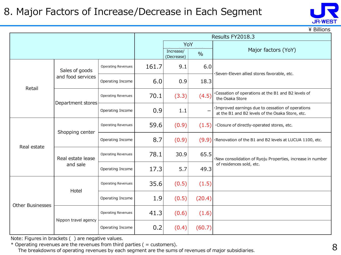#### 8. Major Factors of Increase/Decrease in Each Segment



 $\angle$  Billions

|                         |                      |                           |       | Results FY2018.3        |               |                                                                                                       |  |  |
|-------------------------|----------------------|---------------------------|-------|-------------------------|---------------|-------------------------------------------------------------------------------------------------------|--|--|
|                         |                      |                           |       | YoY                     |               |                                                                                                       |  |  |
|                         |                      |                           |       | Increase/<br>(Decrease) | $\frac{0}{0}$ | Major factors (YoY)                                                                                   |  |  |
|                         | Sales of goods       | <b>Operating Revenues</b> | 161.7 | 9.1                     | 6.0           | Seven-Eleven allied stores favorable, etc.                                                            |  |  |
| Retail                  | and food services    | Operating Income          | 6.0   | 0.9                     | 18.3          |                                                                                                       |  |  |
|                         | Department stores    | Operating Revenues        | 70.1  | (3.3)                   | (4.5)         | Cessation of operations at the B1 and B2 levels of<br>the Osaka Store                                 |  |  |
|                         |                      | Operating Income          | 0.9   | 1.1                     |               | ·Improved earnings due to cessation of operations<br>at the B1 and B2 levels of the Osaka Store, etc. |  |  |
|                         | Shopping center      | <b>Operating Revenues</b> | 59.6  | (0.9)                   | (1.5)         | ·Closure of directly-operated stores, etc.                                                            |  |  |
| Real estate             |                      | Operating Income          | 8.7   | (0.9)                   | (9.9)         | ·Renovation of the B1 and B2 levels at LUCUA 1100, etc.                                               |  |  |
|                         | Real estate lease    | <b>Operating Revenues</b> | 78.1  | 30.9                    | 65.5          | ·New consolidation of Ryoju Properties, increase in number                                            |  |  |
|                         | and sale             | Operating Income          | 17.3  | 5.7                     | 49.3          | of residences sold, etc.                                                                              |  |  |
|                         | Hotel                | Operating Revenues        | 35.6  | (0.5)                   | (1.5)         |                                                                                                       |  |  |
| <b>Other Businesses</b> |                      | Operating Income          | 1.9   | (0.5)                   | (20.4)        |                                                                                                       |  |  |
|                         |                      | <b>Operating Revenues</b> | 41.3  | (0.6)                   | (1.6)         |                                                                                                       |  |  |
|                         | Nippon travel agency | Operating Income          | 0.2   | (0.4)                   | (60.7)        |                                                                                                       |  |  |

Note: Figures in brackets ( ) are negative values.

 $*$  Operating revenues are the revenues from third parties ( = customers).

The breakdowns of operating revenues by each segment are the sums of revenues of major subsidiaries.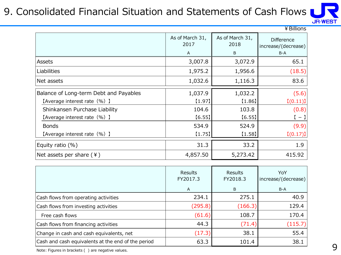### 9. Consolidated Financial Situation and Statements of Cash Flows



|                                        |                         |                         | ¥ Billions                               |
|----------------------------------------|-------------------------|-------------------------|------------------------------------------|
|                                        | As of March 31,<br>2017 | As of March 31,<br>2018 | <b>Difference</b><br>increase/(decrease) |
|                                        | A                       | B                       | $B-A$                                    |
| Assets                                 | 3,007.8                 | 3,072.9                 | 65.1                                     |
| Liabilities                            | 1,975.2                 | 1,956.6                 | (18.5)                                   |
| Net assets                             | 1,032.6                 | 1,116.3                 | 83.6                                     |
| Balance of Long-term Debt and Payables | 1,037.9                 | 1,032.2                 | (5.6)                                    |
| [Average interest rate (%) ]           | $[1.97]$                | [1.86]                  | [(0.11)]                                 |
| Shinkansen Purchase Liability          | 104.6                   | 103.8                   | (0.8)                                    |
| [Average interest rate (%) ]           | [6.55]                  | [6.55]                  | $[-]$                                    |
| <b>Bonds</b>                           | 534.9                   | 524.9                   | (9.9)                                    |
| [Average interest rate (%) ]           | [1.75]                  | [1.58]                  | [(0.17)]                                 |
| Equity ratio $(\%)$                    | 31.3                    | 33.2                    | 1.9                                      |
| Net assets per share $(4)$             | 4,857.50                | 5,273.42                | 415.92                                   |

|                                                    | Results<br>FY2017.3<br>A | <b>Results</b><br>FY2018.3<br>B | YoY<br>increase/(decrease)<br>$B-A$ |
|----------------------------------------------------|--------------------------|---------------------------------|-------------------------------------|
| Cash flows from operating activities               | 234.1                    | 275.1                           | 40.9                                |
| Cash flows from investing activities               | (295.8)                  | (166.3)                         | 129.4                               |
| Free cash flows                                    | (61.6)                   | 108.7                           | 170.4                               |
| Cash flows from financing activities               | 44.3                     | (71.4)                          | (115.7)                             |
| Change in cash and cash equivalents, net           | (17.3)                   | 38.1                            | 55.4                                |
| Cash and cash equivalents at the end of the period | 63.3                     | 101.4                           | 38.1                                |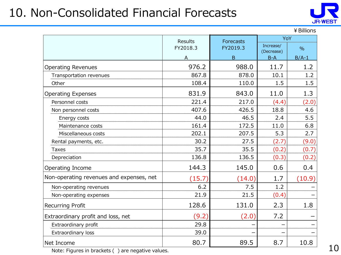# 10. Non-Consolidated Financial Forecasts



¥Billions

|                                          | <b>Results</b> | Forecasts | YoY                     |               |
|------------------------------------------|----------------|-----------|-------------------------|---------------|
|                                          | FY2018.3       | FY2019.3  | Increase/<br>(Decrease) | $\frac{0}{0}$ |
|                                          | А              | B         | $B-A$                   | $B/A-1$       |
| <b>Operating Revenues</b>                | 976.2          | 988.0     | 11.7                    | 1.2           |
| Transportation revenues                  | 867.8          | 878.0     | 10.1                    | 1.2           |
| Other                                    | 108.4          | 110.0     | 1.5                     | 1.5           |
| <b>Operating Expenses</b>                | 831.9          | 843.0     | 11.0                    | 1.3           |
| Personnel costs                          | 221.4          | 217.0     | (4.4)                   | (2.0)         |
| Non personnel costs                      | 407.6          | 426.5     | 18.8                    | 4.6           |
| Energy costs                             | 44.0           | 46.5      | 2.4                     | 5.5           |
| Maintenance costs                        | 161.4          | 172.5     | 11.0                    | 6.8           |
| Miscellaneous costs                      | 202.1          | 207.5     | 5.3                     | 2.7           |
| Rental payments, etc.                    | 30.2           | 27.5      | (2.7)                   | (9.0)         |
| Taxes                                    | 35.7           | 35.5      | (0.2)                   | (0.7)         |
| Depreciation                             | 136.8          | 136.5     | (0.3)                   | (0.2)         |
| Operating Income                         | 144.3          | 145.0     | 0.6                     | 0.4           |
| Non-operating revenues and expenses, net | (15.7)         | (14.0)    | 1.7                     | (10.9)        |
| Non-operating revenues                   | 6.2            | 7.5       | 1.2                     |               |
| Non-operating expenses                   | 21.9           | 21.5      | (0.4)                   |               |
| <b>Recurring Profit</b>                  | 128.6          | 131.0     | 2.3                     | 1.8           |
| Extraordinary profit and loss, net       | (9.2)          | (2.0)     | 7.2                     |               |
| Extraordinary profit                     | 29.8           |           |                         |               |
| Extraordinary loss                       | 39.0           |           |                         |               |
| Net Income                               | 80.7           | 89.5      | 8.7                     | 10.8          |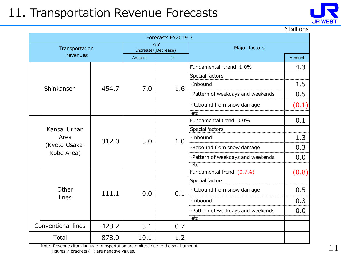### 11. Transportation Revenue Forecasts



¥Billions

|  | Forecasts FY2019.3    |       |                     |               |                                   |        |  |  |  |  |
|--|-----------------------|-------|---------------------|---------------|-----------------------------------|--------|--|--|--|--|
|  | Transportation        |       | Increase/(Decrease) | YoY           | Major factors                     |        |  |  |  |  |
|  | revenues              |       | Amount              | $\frac{0}{0}$ |                                   | Amount |  |  |  |  |
|  |                       |       |                     |               | Fundamental trend 1.0%            | 4.3    |  |  |  |  |
|  |                       |       |                     |               | Special factors                   |        |  |  |  |  |
|  | Shinkansen            | 454.7 | 7.0                 | 1.6           | ·Inbound                          | 1.5    |  |  |  |  |
|  |                       |       |                     |               | ·Pattern of weekdays and weekends | 0.5    |  |  |  |  |
|  |                       |       |                     |               | ·Rebound from snow damage         | (0.1)  |  |  |  |  |
|  |                       |       |                     |               | etc.                              |        |  |  |  |  |
|  |                       | 312.0 |                     |               | Fundamental trend 0.0%            | 0.1    |  |  |  |  |
|  | Kansai Urban          |       |                     |               | Special factors                   |        |  |  |  |  |
|  | Area<br>(Kyoto-Osaka- |       | 3.0                 | 1.0           | ·Inbound                          | 1.3    |  |  |  |  |
|  |                       |       |                     |               | ·Rebound from snow damage         | 0.3    |  |  |  |  |
|  | Kobe Area)            |       |                     |               | ·Pattern of weekdays and weekends | 0.0    |  |  |  |  |
|  |                       |       |                     |               | etc.                              |        |  |  |  |  |
|  |                       |       |                     |               | Fundamental trend (0.7%)          | (0.8)  |  |  |  |  |
|  |                       |       |                     |               | Special factors                   |        |  |  |  |  |
|  | Other                 | 111.1 | 0.0                 | 0.1           | ·Rebound from snow damage         | 0.5    |  |  |  |  |
|  | lines                 |       |                     |               | ·Inbound                          | 0.3    |  |  |  |  |
|  |                       |       |                     |               | ·Pattern of weekdays and weekends | 0.0    |  |  |  |  |
|  |                       |       |                     |               | etc.                              |        |  |  |  |  |
|  | Conventional lines    | 423.2 | 3.1                 | 0.7           |                                   |        |  |  |  |  |
|  | Total                 | 878.0 | 10.1                | 1.2           |                                   |        |  |  |  |  |

Note: Revenues from luggage transportation are omitted due to the small amount. Figures in brackets ( ) are negative values.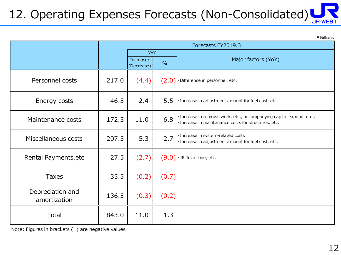#### 12. Operating Expenses Forecasts (Non-Consolidated) **JR-WES**

¥Billions

|                                  | Forecasts FY2019.3 |                         |               |                                                                                                                             |  |
|----------------------------------|--------------------|-------------------------|---------------|-----------------------------------------------------------------------------------------------------------------------------|--|
|                                  |                    | YoY                     |               |                                                                                                                             |  |
|                                  |                    | Increase/<br>(Decrease) | $\frac{0}{0}$ | Major factors (YoY)                                                                                                         |  |
| Personnel costs                  | 217.0              | (4.4)                   | (2.0)         | ·Difference in personnel, etc.                                                                                              |  |
| Energy costs                     | 46.5               | 2.4                     | 5.5           | · Increase in adjustment amount for fuel cost, etc.                                                                         |  |
| Maintenance costs                | 172.5              | 11.0                    | 6.8           | · Increase in removal work, etc., accompanying capital expenditures<br>· Increase in maintenance costs for structures, etc. |  |
| Miscellaneous costs              | 207.5              | 5.3                     | 2.7           | · Increase in system-related costs<br>· Increase in adjustment amount for fuel cost, etc.                                   |  |
| Rental Payments, etc             | 27.5               | (2.7)                   | (9.0)         | · JR Tozai Line, etc.                                                                                                       |  |
| <b>Taxes</b>                     | 35.5               | (0.2)                   | (0.7)         |                                                                                                                             |  |
| Depreciation and<br>amortization | 136.5              | (0.3)                   | (0.2)         |                                                                                                                             |  |
| Total                            | 843.0              | 11.0                    | 1.3           |                                                                                                                             |  |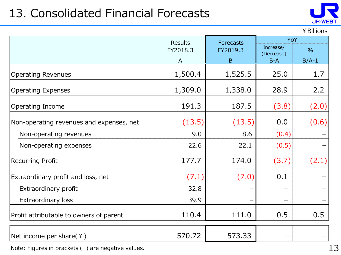# 13. Consolidated Financial Forecasts



#### ¥Billions

|                                          | <b>Results</b> | <b>Forecasts</b> | YoY                     |               |
|------------------------------------------|----------------|------------------|-------------------------|---------------|
|                                          | FY2018.3       | FY2019.3         | Increase/<br>(Decrease) | $\frac{0}{0}$ |
|                                          | A              | B                | $B-A$                   | $B/A-1$       |
| <b>Operating Revenues</b>                | 1,500.4        | 1,525.5          | 25.0                    | 1.7           |
| <b>Operating Expenses</b>                | 1,309.0        | 1,338.0          | 28.9                    | 2.2           |
| Operating Income                         | 191.3          | 187.5            | (3.8)                   | (2.0)         |
| Non-operating revenues and expenses, net | (13.5)         | (13.5)           | 0.0                     | (0.6)         |
| Non-operating revenues                   | 9.0            | 8.6              | (0.4)                   |               |
| Non-operating expenses                   | 22.6           | 22.1             | (0.5)                   |               |
| <b>Recurring Profit</b>                  | 177.7          | 174.0            | (3.7)                   | (2.1)         |
| Extraordinary profit and loss, net       | (7.1)          | (7.0)            | 0.1                     |               |
| Extraordinary profit                     | 32.8           |                  |                         |               |
| Extraordinary loss                       | 39.9           |                  |                         |               |
| Profit attributable to owners of parent  | 110.4          | 111.0            | 0.5                     | 0.5           |
| Net income per share $(4)$               | 570.72         | 573.33           |                         |               |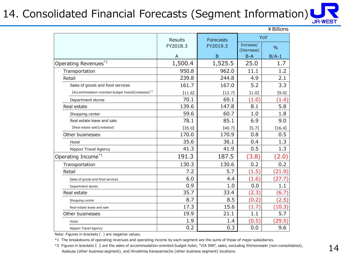#### 14. Consolidated Financial Forecasts (Segment Information) **JR-WEST**

| ¥ Billions                                                      |                |                  |            |               |  |  |  |  |
|-----------------------------------------------------------------|----------------|------------------|------------|---------------|--|--|--|--|
|                                                                 | <b>Results</b> | <b>Forecasts</b> | Increase/  | YoY           |  |  |  |  |
|                                                                 | FY2018.3       | FY2019.3         | (Decrease) | $\frac{0}{0}$ |  |  |  |  |
|                                                                 | A              | B                | $B-A$      | $B/A-1$       |  |  |  |  |
| Operating Revenues $^{\ast1}$                                   | 1,500.4        | 1,525.5          | 25.0       | 1.7           |  |  |  |  |
| Transportation                                                  | 950.8          | 962.0            | 11.1       | 1.2           |  |  |  |  |
| Retail                                                          | 239.8          | 244.8            | 4.9        | 2.1           |  |  |  |  |
| Sales of goods and food services                                | 161.7          | 167.0            | 5.2        | 3.3           |  |  |  |  |
| [Accommodation-oriented budget hotels] (restated) <sup>*2</sup> | [11.6]         | [12.7]           | [1.0]      | [9.0]         |  |  |  |  |
| Department stores                                               | 70.1           | 69.1             | (1.0)      | (1.4)         |  |  |  |  |
| Real estate                                                     | 139.6          | 147.8            | 8.1        | 5.8           |  |  |  |  |
| Shopping center                                                 | 59.6           | 60.7             | 1.0        | 1.8           |  |  |  |  |
| Real estate lease and sale                                      | 78.1           | 85.1             | 6.9        | 9.0           |  |  |  |  |
| [Real estate sale] (restated)                                   | [35.0]         | [40.7]           | [5.7]      | [16.4]        |  |  |  |  |
| Other businesses                                                | 170.0          | 170.9            | 0.8        | 0.5           |  |  |  |  |
| Hotel                                                           | 35.6           | 36.1             | 0.4        | 1.3           |  |  |  |  |
| Nippon Travel Agency                                            | 41.3           | 41.9             | 0.5        | 1.3           |  |  |  |  |
| Operating Income <sup>*1</sup>                                  | 191.3          | 187.5            | (3.8)      | (2.0)         |  |  |  |  |
| Transportation                                                  | 130.3          | 130.6            | 0.2        | 0.2           |  |  |  |  |
| Retail                                                          | 7.2            | 5.7              | (1.5)      | (21.9)        |  |  |  |  |
| Sales of goods and food services                                | 6.0            | 4.4              | (1.6)      | (27.7)        |  |  |  |  |
| Department stores                                               | 0.9            | 1.0              | 0.0        | 1.1           |  |  |  |  |
| Real estate                                                     | 35.7           | 33.4             | (2.3)      | (6.7)         |  |  |  |  |
| Shopping center                                                 | 8.7            | 8.5              | (0.2)      | (2.5)         |  |  |  |  |
| Real estate lease and sale                                      | 17.3           | 15.6             | (1.7)      | (10.3)        |  |  |  |  |
| Other businesses                                                | 19.9           | 21.1             | 1.1        | 5.7           |  |  |  |  |
| Hotel                                                           | 1.9            | 1.4              | (0.5)      | (29.5)        |  |  |  |  |
| Nippon Travel Agency                                            | 0.2            | 0.3              | 0.0        | 9.6           |  |  |  |  |

Note: Figures in brackets ( ) are negative values.

\*1 The breakdowns of operating revenues and operating income by each segment are the sums of those of major subsidiaries.

\*2 Figures in brackets 【 】 are the sales of accommodation-oriented budget hotel, "VIA INN", sales, excluding Shimonoseki (non-consolidated), Asakusa (other business segment), and Hiroshima Kanayamacho (other business segment) locations.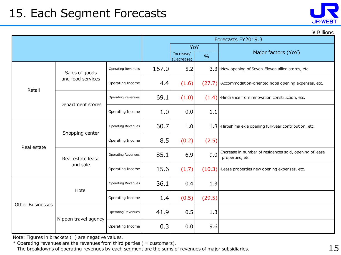### 15. Each Segment Forecasts

| <b>JR-WEST</b> |
|----------------|
|                |

\ Billions

|                         |                                     |                           |       |                         | Forecasts FY2019.3 |                                                                              |  |
|-------------------------|-------------------------------------|---------------------------|-------|-------------------------|--------------------|------------------------------------------------------------------------------|--|
|                         |                                     |                           |       | YoY                     |                    |                                                                              |  |
|                         |                                     |                           |       | Increase/<br>(Decrease) | $\frac{0}{0}$      | Major factors (YoY)                                                          |  |
|                         | Sales of goods<br>and food services | <b>Operating Revenues</b> | 167.0 | 5.2                     |                    | $3.3$ $\cdot$ New opening of Seven-Eleven allied stores, etc.                |  |
| Retail                  |                                     | Operating Income          | 4.4   | (1.6)                   |                    | (27.7)   · Accommodation-oriented hotel opening expenses, etc.               |  |
|                         |                                     | <b>Operating Revenues</b> | 69.1  | (1.0)                   |                    | $(1.4)$ . Hindrance from renovation construction, etc.                       |  |
|                         | Department stores                   | Operating Income          | 1.0   | 0.0                     | 1.1                |                                                                              |  |
|                         | Shopping center                     | <b>Operating Revenues</b> | 60.7  | 1.0                     |                    | $1.8$ . Hiroshima ekie opening full-year contribution, etc.                  |  |
| Real estate             |                                     | Operating Income          | 8.5   | (0.2)                   | (2.5)              |                                                                              |  |
|                         | Real estate lease<br>and sale       | <b>Operating Revenues</b> | 85.1  | 6.9                     | 9.0                | ·Increase in number of residences sold, opening of lease<br>properties, etc. |  |
|                         |                                     | Operating Income          | 15.6  | (1.7)                   | (10.3)             | ·Lease properties new opening expenses, etc.                                 |  |
| <b>Other Businesses</b> | Hotel                               | <b>Operating Revenues</b> | 36.1  | 0.4                     | 1.3                |                                                                              |  |
|                         |                                     | Operating Income          | 1.4   | (0.5)                   | (29.5)             |                                                                              |  |
|                         | Nippon travel agency                | <b>Operating Revenues</b> | 41.9  | 0.5                     | 1.3                |                                                                              |  |
|                         |                                     | Operating Income          | 0.3   | 0.0                     | 9.6                |                                                                              |  |

Note: Figures in brackets ( ) are negative values.

 $*$  Operating revenues are the revenues from third parties ( = customers).

The breakdowns of operating revenues by each segment are the sums of revenues of major subsidiaries.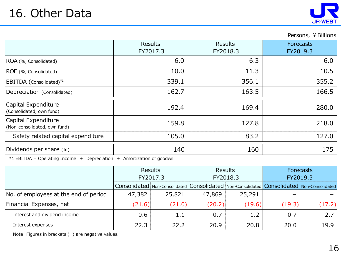#### Persons, ¥ Billions

|                                                                                                           | <b>Results</b><br>FY2017.3 | Results<br>FY2018.3 | <b>Forecasts</b><br>FY2019.3 |
|-----------------------------------------------------------------------------------------------------------|----------------------------|---------------------|------------------------------|
| ROA (%, Consolidated)                                                                                     | 6.0                        | 6.3                 | 6.0                          |
| ROE (%, Consolidated)                                                                                     | 10.0                       | 11.3                | 10.5                         |
| EBITDA (Consolidated)*1                                                                                   | 339.1                      | 356.1               | 355.2                        |
| Depreciation (Consolidated)                                                                               | 162.7                      | 163.5               | 166.5                        |
| Capital Expenditure<br>(Consolidated, own fund)                                                           | 192.4                      | 169.4               | 280.0                        |
| Capital Expenditure<br>(Non-consolidated, own fund)                                                       | 159.8                      | 127.8               | 218.0                        |
| Safety related capital expenditure                                                                        | 105.0                      | 83.2                | 127.0                        |
| Dividends per share (¥)<br>** EBITBA - Osassatsa Terresea - I Brossatation - I Association of Service III | 140                        | 160                 | 175                          |

 $*1$  EBITDA = Operating Income + Depreciation + Amortization of goodwill

|                                       |          | <b>Results</b> |          | <b>Results</b>                                                                                      | <b>Forecasts</b> |        |
|---------------------------------------|----------|----------------|----------|-----------------------------------------------------------------------------------------------------|------------------|--------|
|                                       | FY2017.3 |                | FY2018.3 |                                                                                                     | FY2019.3         |        |
|                                       |          |                |          | Consolidated   Non-Consolidated   Consolidated   Non-Consolidated   Consolidated   Non-Consolidated |                  |        |
| No. of employees at the end of period | 47,382   | 25,821         | 47,869   | 25,291                                                                                              |                  |        |
| Financial Expenses, net               | (21.6)   | (21.0)         | (20.2)   | (19.6)                                                                                              | (19.3)           | (17.2) |
| Interest and dividend income          | 0.6      | 1.1            | 0.7      | 1.2                                                                                                 | 0.7              |        |
| Interest expenses                     | 22.3     | 22.2           | 20.9     | 20.8                                                                                                | 20.0             | 19.9   |